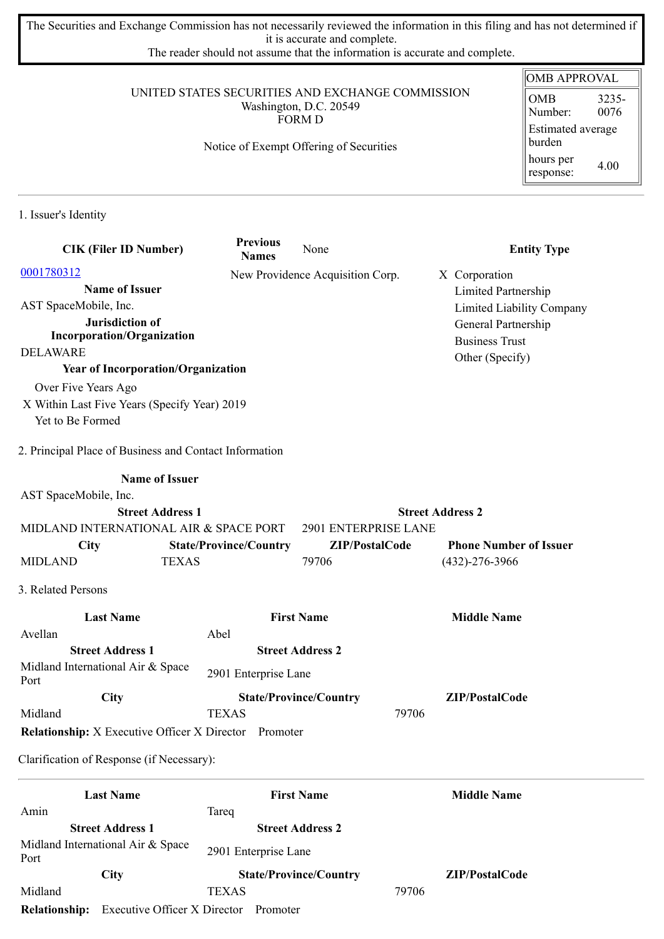The Securities and Exchange Commission has not necessarily reviewed the information in this filing and has not determined if it is accurate and complete.

The reader should not assume that the information is accurate and complete.

## UNITED STATES SECURITIES AND EXCHANGE COMMISSION Washington, D.C. 20549 FORM D

## Notice of Exempt Offering of Securities

## OMB APPROVAL OMB Number: 3235- 0076 Estimated average burden hours per response: 4.00

1. Issuer's Identity

| <b>CIK (Filer ID Number)</b>                                 | <b>Previous</b><br><b>Names</b> | None                             | <b>Entity Type</b>            |
|--------------------------------------------------------------|---------------------------------|----------------------------------|-------------------------------|
| 0001780312                                                   |                                 | New Providence Acquisition Corp. | X Corporation                 |
| <b>Name of Issuer</b>                                        |                                 |                                  | Limited Partnership           |
| AST SpaceMobile, Inc.                                        |                                 |                                  | Limited Liability Company     |
| Jurisdiction of                                              |                                 |                                  | General Partnership           |
| <b>Incorporation/Organization</b>                            |                                 |                                  | <b>Business Trust</b>         |
| <b>DELAWARE</b>                                              |                                 |                                  | Other (Specify)               |
| <b>Year of Incorporation/Organization</b>                    |                                 |                                  |                               |
| Over Five Years Ago                                          |                                 |                                  |                               |
| X Within Last Five Years (Specify Year) 2019                 |                                 |                                  |                               |
| Yet to Be Formed                                             |                                 |                                  |                               |
| 2. Principal Place of Business and Contact Information       |                                 |                                  |                               |
| <b>Name of Issuer</b>                                        |                                 |                                  |                               |
| AST SpaceMobile, Inc.                                        |                                 |                                  |                               |
| <b>Street Address 1</b>                                      |                                 |                                  | <b>Street Address 2</b>       |
| MIDLAND INTERNATIONAL AIR & SPACE PORT                       |                                 | 2901 ENTERPRISE LANE             |                               |
| <b>City</b>                                                  | <b>State/Province/Country</b>   | ZIP/PostalCode                   | <b>Phone Number of Issuer</b> |
| <b>MIDLAND</b><br><b>TEXAS</b>                               |                                 | 79706                            | $(432)-276-3966$              |
| 3. Related Persons                                           |                                 |                                  |                               |
| <b>Last Name</b>                                             |                                 | <b>First Name</b>                | <b>Middle Name</b>            |
| Avellan                                                      | Abel                            |                                  |                               |
| <b>Street Address 1</b>                                      |                                 | <b>Street Address 2</b>          |                               |
| Midland International Air & Space<br>Port                    | 2901 Enterprise Lane            |                                  |                               |
| City                                                         |                                 | <b>State/Province/Country</b>    | ZIP/PostalCode                |
| Midland                                                      | <b>TEXAS</b>                    |                                  | 79706                         |
| <b>Relationship:</b> X Executive Officer X Director Promoter |                                 |                                  |                               |
| Clarification of Response (if Necessary):                    |                                 |                                  |                               |
| <b>Last Name</b>                                             |                                 | <b>First Name</b>                | <b>Middle Name</b>            |
| Amin                                                         | Tareq                           |                                  |                               |
| <b>Street Address 1</b>                                      |                                 | <b>Street Address 2</b>          |                               |
| Midland International Air & Space<br>Port                    | 2901 Enterprise Lane            |                                  |                               |
| City                                                         |                                 | <b>State/Province/Country</b>    | ZIP/PostalCode                |
| Midland                                                      | <b>TEXAS</b>                    |                                  | 79706                         |

**Relationship:** Executive Officer X Director Promoter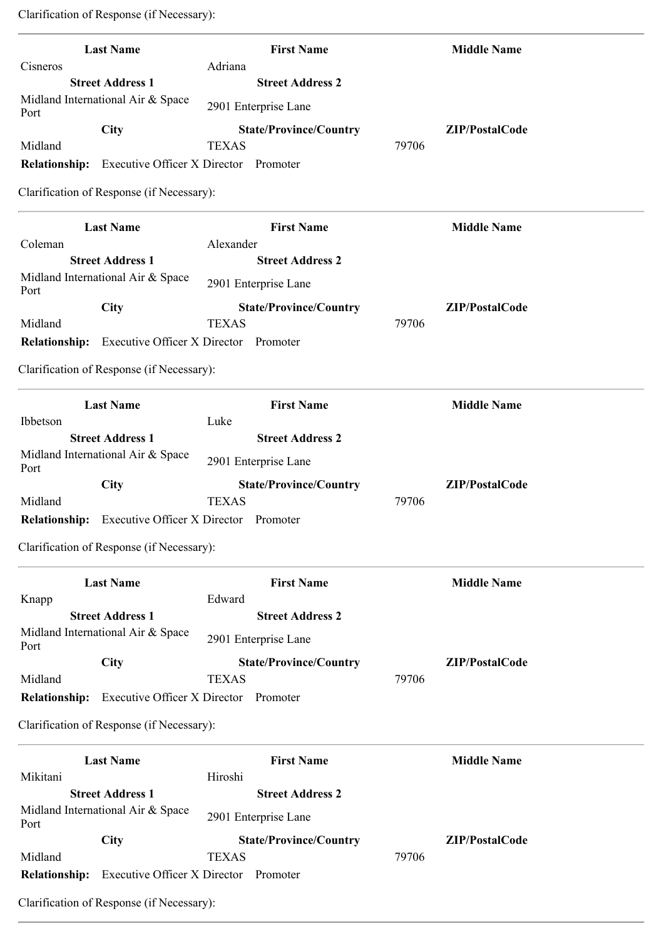Clarification of Response (if Necessary):

| <b>Last Name</b>                                                         | <b>First Name</b>               | <b>Middle Name</b> |
|--------------------------------------------------------------------------|---------------------------------|--------------------|
| Cisneros                                                                 | Adriana                         |                    |
| <b>Street Address 1</b><br>Midland International Air & Space             | <b>Street Address 2</b>         |                    |
| Port                                                                     | 2901 Enterprise Lane            |                    |
| <b>City</b>                                                              | <b>State/Province/Country</b>   | ZIP/PostalCode     |
| Midland                                                                  | <b>TEXAS</b>                    | 79706              |
| Executive Officer X Director Promoter<br><b>Relationship:</b>            |                                 |                    |
| Clarification of Response (if Necessary):                                |                                 |                    |
| <b>Last Name</b>                                                         | <b>First Name</b>               | <b>Middle Name</b> |
| Coleman                                                                  | Alexander                       |                    |
| <b>Street Address 1</b><br>Midland International Air & Space             | <b>Street Address 2</b>         |                    |
| Port                                                                     | 2901 Enterprise Lane            |                    |
| <b>City</b>                                                              | <b>State/Province/Country</b>   | ZIP/PostalCode     |
| Midland                                                                  | <b>TEXAS</b>                    | 79706              |
| <b>Relationship:</b><br>Executive Officer X Director Promoter            |                                 |                    |
| Clarification of Response (if Necessary):                                |                                 |                    |
| <b>Last Name</b>                                                         | <b>First Name</b>               | <b>Middle Name</b> |
| Ibbetson<br><b>Street Address 1</b>                                      | Luke<br><b>Street Address 2</b> |                    |
| Midland International Air & Space                                        |                                 |                    |
| Port                                                                     | 2901 Enterprise Lane            |                    |
| <b>City</b>                                                              | <b>State/Province/Country</b>   | ZIP/PostalCode     |
| Midland<br>Executive Officer X Director Promoter<br><b>Relationship:</b> | <b>TEXAS</b>                    | 79706              |
|                                                                          |                                 |                    |
| Clarification of Response (if Necessary):                                |                                 |                    |
| <b>Last Name</b>                                                         | <b>First Name</b>               | <b>Middle Name</b> |
| Knapp                                                                    | Edward                          |                    |
| <b>Street Address 1</b>                                                  | <b>Street Address 2</b>         |                    |
| Midland International Air & Space<br>Port                                | 2901 Enterprise Lane            |                    |
| <b>City</b>                                                              | <b>State/Province/Country</b>   | ZIP/PostalCode     |
| Midland                                                                  | <b>TEXAS</b>                    | 79706              |
| <b>Relationship:</b><br><b>Executive Officer X Director</b>              | Promoter                        |                    |
| Clarification of Response (if Necessary):                                |                                 |                    |
| <b>Last Name</b>                                                         | <b>First Name</b>               | <b>Middle Name</b> |
| Mikitani                                                                 | Hiroshi                         |                    |
| <b>Street Address 1</b><br>Midland International Air & Space             | <b>Street Address 2</b>         |                    |
| Port                                                                     | 2901 Enterprise Lane            |                    |
| City                                                                     | <b>State/Province/Country</b>   | ZIP/PostalCode     |
| Midland                                                                  | <b>TEXAS</b>                    | 79706              |
| Executive Officer X Director Promoter<br><b>Relationship:</b>            |                                 |                    |
| Clarification of Response (if Necessary):                                |                                 |                    |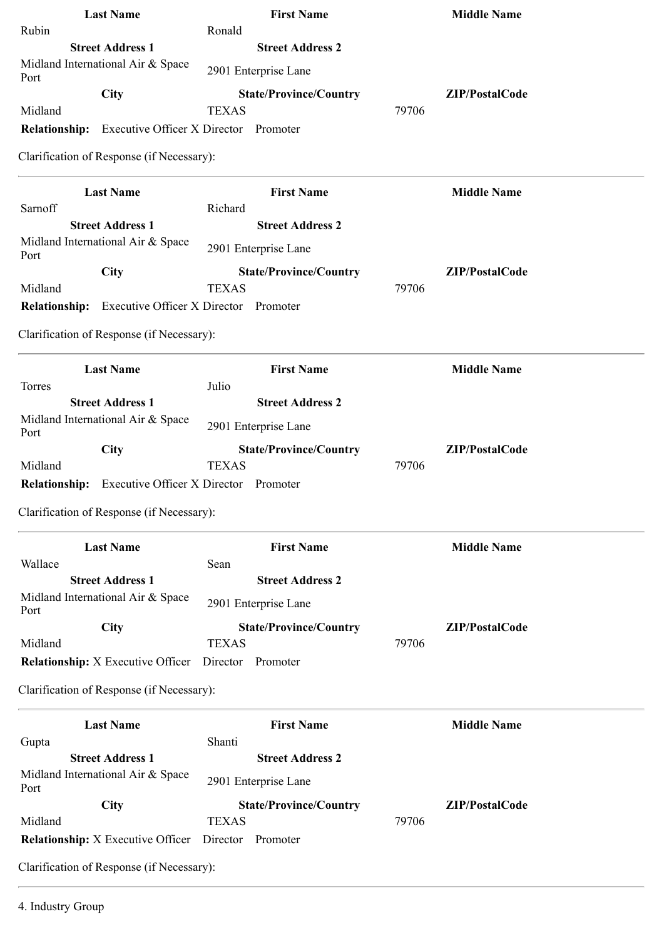| <b>Last Name</b>                                           |                                     | <b>First Name</b>             |       | <b>Middle Name</b> |  |
|------------------------------------------------------------|-------------------------------------|-------------------------------|-------|--------------------|--|
| Rubin                                                      | Ronald                              |                               |       |                    |  |
| <b>Street Address 1</b>                                    |                                     | <b>Street Address 2</b>       |       |                    |  |
| Midland International Air & Space<br>Port                  |                                     | 2901 Enterprise Lane          |       |                    |  |
| City                                                       |                                     | <b>State/Province/Country</b> |       | ZIP/PostalCode     |  |
| Midland                                                    | <b>TEXAS</b>                        |                               | 79706 |                    |  |
| <b>Relationship:</b> Executive Officer X Director Promoter |                                     |                               |       |                    |  |
| Clarification of Response (if Necessary):                  |                                     |                               |       |                    |  |
| <b>Last Name</b>                                           |                                     | <b>First Name</b>             |       | <b>Middle Name</b> |  |
| Sarnoff                                                    | Richard                             |                               |       |                    |  |
| <b>Street Address 1</b>                                    |                                     | <b>Street Address 2</b>       |       |                    |  |
| Midland International Air & Space<br>Port                  |                                     | 2901 Enterprise Lane          |       |                    |  |
| City                                                       |                                     | <b>State/Province/Country</b> |       | ZIP/PostalCode     |  |
| Midland                                                    | <b>TEXAS</b>                        |                               | 79706 |                    |  |
| Relationship: Executive Officer X Director Promoter        |                                     |                               |       |                    |  |
| Clarification of Response (if Necessary):                  |                                     |                               |       |                    |  |
| <b>Last Name</b>                                           |                                     | <b>First Name</b>             |       | <b>Middle Name</b> |  |
| Torres                                                     | Julio                               |                               |       |                    |  |
| <b>Street Address 1</b>                                    |                                     | <b>Street Address 2</b>       |       |                    |  |
| Midland International Air & Space<br>Port                  |                                     | 2901 Enterprise Lane          |       |                    |  |
| <b>City</b>                                                |                                     | <b>State/Province/Country</b> |       | ZIP/PostalCode     |  |
| Midland                                                    | <b>TEXAS</b>                        |                               | 79706 |                    |  |
| <b>Relationship:</b>                                       | <b>Executive Officer X Director</b> | Promoter                      |       |                    |  |
| Clarification of Response (if Necessary):                  |                                     |                               |       |                    |  |
| <b>Last Name</b>                                           |                                     | <b>First Name</b>             |       | <b>Middle Name</b> |  |
| Wallace                                                    | Sean                                |                               |       |                    |  |
| <b>Street Address 1</b>                                    |                                     | <b>Street Address 2</b>       |       |                    |  |
| Midland International Air & Space<br>Port                  |                                     | 2901 Enterprise Lane          |       |                    |  |
| City                                                       |                                     | <b>State/Province/Country</b> |       | ZIP/PostalCode     |  |
| Midland                                                    | <b>TEXAS</b>                        |                               | 79706 |                    |  |
| <b>Relationship:</b> X Executive Officer                   |                                     | Director Promoter             |       |                    |  |
| Clarification of Response (if Necessary):                  |                                     |                               |       |                    |  |
| <b>Last Name</b>                                           |                                     | <b>First Name</b>             |       | <b>Middle Name</b> |  |
| Gupta                                                      | Shanti                              |                               |       |                    |  |
| <b>Street Address 1</b>                                    |                                     | <b>Street Address 2</b>       |       |                    |  |
| Midland International Air & Space<br>Port                  |                                     | 2901 Enterprise Lane          |       |                    |  |
| <b>City</b>                                                |                                     | <b>State/Province/Country</b> |       | ZIP/PostalCode     |  |
| Midland                                                    | <b>TEXAS</b>                        |                               | 79706 |                    |  |
| <b>Relationship:</b> X Executive Officer                   | Director                            | Promoter                      |       |                    |  |
| Clarification of Response (if Necessary):                  |                                     |                               |       |                    |  |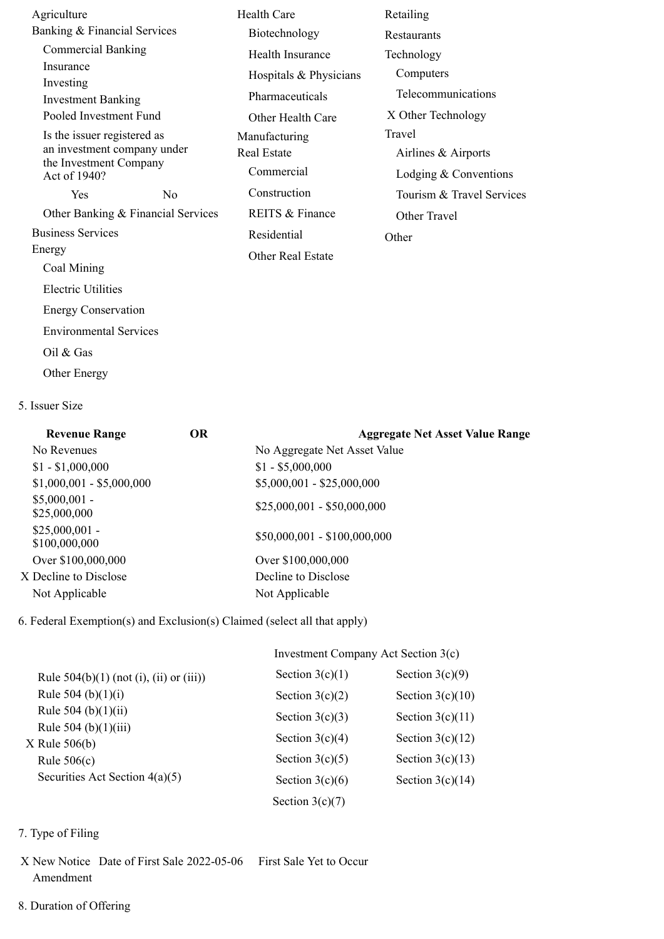| Agriculture                            |    | <b>Health Care</b>       | Retailing                 |  |
|----------------------------------------|----|--------------------------|---------------------------|--|
| Banking & Financial Services           |    | Biotechnology            | <b>Restaurants</b>        |  |
| <b>Commercial Banking</b>              |    | Health Insurance         | Technology                |  |
| Insurance                              |    | Hospitals & Physicians   | Computers                 |  |
| Investing<br><b>Investment Banking</b> |    | Pharmaceuticals          | Telecommunications        |  |
| Pooled Investment Fund                 |    | Other Health Care        | X Other Technology        |  |
| Is the issuer registered as            |    | Manufacturing            | Travel                    |  |
| an investment company under            |    | <b>Real Estate</b>       | Airlines & Airports       |  |
| the Investment Company<br>Act of 1940? |    | Commercial               | Lodging $&$ Conventions   |  |
| <b>Yes</b>                             | No | Construction             | Tourism & Travel Services |  |
| Other Banking & Financial Services     |    | REITS & Finance          | Other Travel              |  |
| <b>Business Services</b>               |    | Residential              | Other                     |  |
| Energy                                 |    | <b>Other Real Estate</b> |                           |  |
| Coal Mining                            |    |                          |                           |  |
| <b>Electric Utilities</b>              |    |                          |                           |  |
| <b>Energy Conservation</b>             |    |                          |                           |  |
| <b>Environmental Services</b>          |    |                          |                           |  |
| Oil $&$ Gas                            |    |                          |                           |  |

Other Energy

## 5. Issuer Size

| <b>Revenue Range</b>             | <b>OR</b> | <b>Aggregate Net Asset Value Range</b> |  |  |  |
|----------------------------------|-----------|----------------------------------------|--|--|--|
| No Revenues                      |           | No Aggregate Net Asset Value           |  |  |  |
| $$1 - $1,000,000$                |           | $$1 - $5,000,000$                      |  |  |  |
| $$1,000,001 - $5,000,000$        |           | $$5,000,001 - $25,000,000$             |  |  |  |
| $$5,000,001$ -<br>\$25,000,000   |           | $$25,000,001 - $50,000,000$            |  |  |  |
| $$25,000,001$ -<br>\$100,000,000 |           | $$50,000,001 - $100,000,000$           |  |  |  |
| Over \$100,000,000               |           | Over \$100,000,000                     |  |  |  |
| X Decline to Disclose            |           | Decline to Disclose                    |  |  |  |
| Not Applicable                   |           | Not Applicable                         |  |  |  |

6. Federal Exemption(s) and Exclusion(s) Claimed (select all that apply)

| Investment Company Act Section 3(c) |                    |  |  |
|-------------------------------------|--------------------|--|--|
| Section $3(c)(1)$                   | Section $3(c)(9)$  |  |  |
| Section $3(c)(2)$                   | Section $3(c)(10)$ |  |  |
| Section $3(c)(3)$                   | Section $3(c)(11)$ |  |  |
| Section $3(c)(4)$                   | Section $3(c)(12)$ |  |  |
| Section $3(c)(5)$                   | Section $3(c)(13)$ |  |  |
| Section $3(c)(6)$                   | Section $3(c)(14)$ |  |  |
| Section $3(c)(7)$                   |                    |  |  |
|                                     |                    |  |  |

- 7. Type of Filing
- X New Notice Date of First Sale 2022-05-06 First Sale Yet to Occur Amendment
- 8. Duration of Offering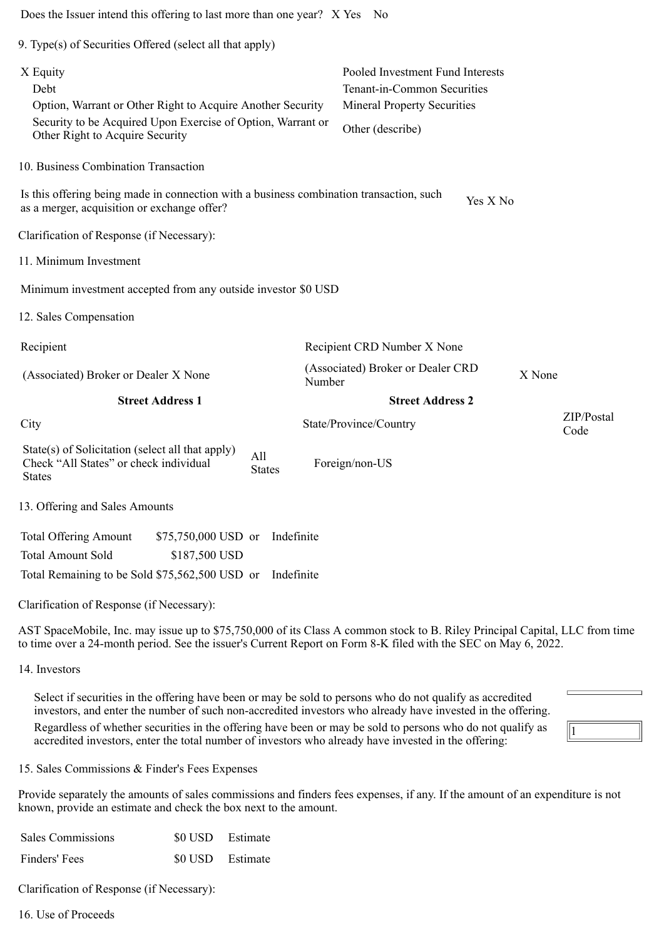| Does the Issuer intend this offering to last more than one year? X Yes No                                                                                                                                                                                                                                                                                                                                                                      |        |                                                                                                                           |        |                    |
|------------------------------------------------------------------------------------------------------------------------------------------------------------------------------------------------------------------------------------------------------------------------------------------------------------------------------------------------------------------------------------------------------------------------------------------------|--------|---------------------------------------------------------------------------------------------------------------------------|--------|--------------------|
| 9. Type(s) of Securities Offered (select all that apply)                                                                                                                                                                                                                                                                                                                                                                                       |        |                                                                                                                           |        |                    |
| X Equity<br>Debt<br>Option, Warrant or Other Right to Acquire Another Security<br>Security to be Acquired Upon Exercise of Option, Warrant or<br>Other Right to Acquire Security                                                                                                                                                                                                                                                               |        | Pooled Investment Fund Interests<br>Tenant-in-Common Securities<br><b>Mineral Property Securities</b><br>Other (describe) |        |                    |
| 10. Business Combination Transaction                                                                                                                                                                                                                                                                                                                                                                                                           |        |                                                                                                                           |        |                    |
| Is this offering being made in connection with a business combination transaction, such<br>as a merger, acquisition or exchange offer?                                                                                                                                                                                                                                                                                                         |        | Yes X No                                                                                                                  |        |                    |
| Clarification of Response (if Necessary):                                                                                                                                                                                                                                                                                                                                                                                                      |        |                                                                                                                           |        |                    |
| 11. Minimum Investment                                                                                                                                                                                                                                                                                                                                                                                                                         |        |                                                                                                                           |        |                    |
| Minimum investment accepted from any outside investor \$0 USD                                                                                                                                                                                                                                                                                                                                                                                  |        |                                                                                                                           |        |                    |
| 12. Sales Compensation                                                                                                                                                                                                                                                                                                                                                                                                                         |        |                                                                                                                           |        |                    |
| Recipient                                                                                                                                                                                                                                                                                                                                                                                                                                      |        | Recipient CRD Number X None                                                                                               |        |                    |
| (Associated) Broker or Dealer X None                                                                                                                                                                                                                                                                                                                                                                                                           | Number | (Associated) Broker or Dealer CRD                                                                                         | X None |                    |
| <b>Street Address 1</b>                                                                                                                                                                                                                                                                                                                                                                                                                        |        | <b>Street Address 2</b>                                                                                                   |        |                    |
| City                                                                                                                                                                                                                                                                                                                                                                                                                                           |        | State/Province/Country                                                                                                    |        | ZIP/Postal<br>Code |
| State(s) of Solicitation (select all that apply)<br>All<br>Check "All States" or check individual<br><b>States</b><br><b>States</b>                                                                                                                                                                                                                                                                                                            |        | Foreign/non-US                                                                                                            |        |                    |
| 13. Offering and Sales Amounts                                                                                                                                                                                                                                                                                                                                                                                                                 |        |                                                                                                                           |        |                    |
| <b>Total Offering Amount</b><br>\$75,750,000 USD or<br>Indefinite<br><b>Total Amount Sold</b><br>\$187,500 USD<br>Total Remaining to be Sold \$75,562,500 USD or<br>Indefinite                                                                                                                                                                                                                                                                 |        |                                                                                                                           |        |                    |
| Clarification of Response (if Necessary):                                                                                                                                                                                                                                                                                                                                                                                                      |        |                                                                                                                           |        |                    |
| AST SpaceMobile, Inc. may issue up to \$75,750,000 of its Class A common stock to B. Riley Principal Capital, LLC from time<br>to time over a 24-month period. See the issuer's Current Report on Form 8-K filed with the SEC on May 6, 2022.                                                                                                                                                                                                  |        |                                                                                                                           |        |                    |
| 14. Investors                                                                                                                                                                                                                                                                                                                                                                                                                                  |        |                                                                                                                           |        |                    |
| Select if securities in the offering have been or may be sold to persons who do not qualify as accredited<br>investors, and enter the number of such non-accredited investors who already have invested in the offering.<br>Regardless of whether securities in the offering have been or may be sold to persons who do not qualify as<br>accredited investors, enter the total number of investors who already have invested in the offering: |        |                                                                                                                           |        |                    |
| 15. Sales Commissions & Finder's Fees Expenses                                                                                                                                                                                                                                                                                                                                                                                                 |        |                                                                                                                           |        |                    |
| Provide separately the amounts of sales commissions and finders fees expenses, if any. If the amount of an expenditure is not<br>known, provide an estimate and check the box next to the amount.                                                                                                                                                                                                                                              |        |                                                                                                                           |        |                    |
| <b>Sales Commissions</b><br>\$0 USD<br>Estimate                                                                                                                                                                                                                                                                                                                                                                                                |        |                                                                                                                           |        |                    |

Finders' Fees \$0 USD Estimate

Clarification of Response (if Necessary):

16. Use of Proceeds